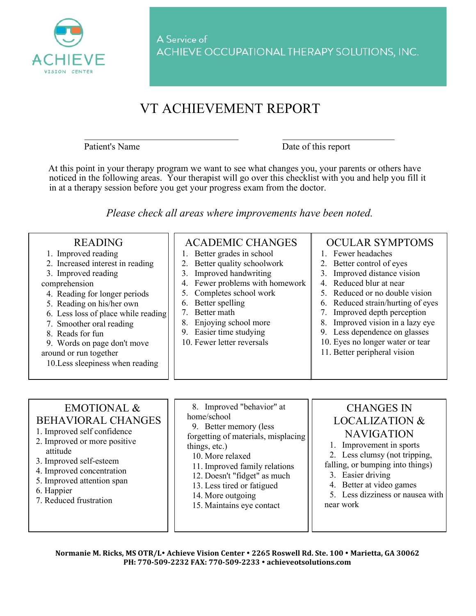

## VT ACHIEVEMENT REPORT

Patient's Name Date of this report

At this point in your therapy program we want to see what changes you, your parents or others have noticed in the following areas. Your therapist will go over this checklist with you and help you fill it in at a therapy session before you get your progress exam from the doctor.

 $\_$  , and the set of the set of the set of the set of the set of the set of the set of the set of the set of the set of the set of the set of the set of the set of the set of the set of the set of the set of the set of th

*Please check all areas where improvements have been noted.* 

| <b>READING</b><br>1. Improved reading<br>2. Increased interest in reading<br>3. Improved reading<br>comprehension<br>4. Reading for longer periods<br>5. Reading on his/her own<br>6. Less loss of place while reading<br>7. Smoother oral reading<br>8. Reads for fun<br>9. Words on page don't move<br>around or run together<br>10. Less sleepiness when reading | <b>ACADEMIC CHANGES</b><br>1. Better grades in school<br>2. Better quality schoolwork<br>3. Improved handwriting<br>4. Fewer problems with homework<br>5. Completes school work<br>Better spelling<br>6.<br>Better math<br>Enjoying school more<br>8.<br>9. Easier time studying<br>10. Fewer letter reversals | <b>OCULAR SYMPTOMS</b><br>1. Fewer headaches<br>2. Better control of eyes<br>3. Improved distance vision<br>4. Reduced blur at near<br>5. Reduced or no double vision<br>6. Reduced strain/hurting of eyes<br>7. Improved depth perception<br>Improved vision in a lazy eye<br>9. Less dependence on glasses<br>10. Eyes no longer water or tear<br>11. Better peripheral vision |
|---------------------------------------------------------------------------------------------------------------------------------------------------------------------------------------------------------------------------------------------------------------------------------------------------------------------------------------------------------------------|----------------------------------------------------------------------------------------------------------------------------------------------------------------------------------------------------------------------------------------------------------------------------------------------------------------|----------------------------------------------------------------------------------------------------------------------------------------------------------------------------------------------------------------------------------------------------------------------------------------------------------------------------------------------------------------------------------|
|---------------------------------------------------------------------------------------------------------------------------------------------------------------------------------------------------------------------------------------------------------------------------------------------------------------------------------------------------------------------|----------------------------------------------------------------------------------------------------------------------------------------------------------------------------------------------------------------------------------------------------------------------------------------------------------------|----------------------------------------------------------------------------------------------------------------------------------------------------------------------------------------------------------------------------------------------------------------------------------------------------------------------------------------------------------------------------------|

## EMOTIONAL & BEHAVIORAL CHANGES

- 1. Improved self confidence
- 2. Improved or more positive attitude
- 3. Improved self-esteem
- 4. Improved concentration
- 5. Improved attention span
- 6. Happier
- 7. Reduced frustration

8. Improved "behavior" at home/school 9. Better memory (less forgetting of materials, misplacing things, etc.) 10. More relaxed 11. Improved family relations 12. Doesn't "fidget" as much 13. Less tired or fatigued 14. More outgoing 15. Maintains eye contact

## CHANGES IN LOCALIZATION & NAVIGATION

1. Improvement in sports

2. Less clumsy (not tripping,

falling, or bumping into things)

- 3. Easier driving
- 4. Better at video games

5. Less dizziness or nausea with near work

**Normanie M. Ricks, MS OTR/L Achieve Vision Center 2265 Roswell Rd. Ste. 100 Marietta, GA 30062 PH: 770-509-2232 FAX: 770-509-2233 achieveotsolutions.com**